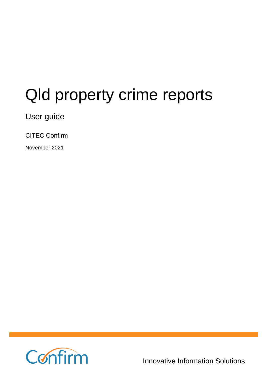# Qld property crime reports

User guide

CITEC Confirm

November 2021



**1800 773 773**

Innovative Information Solutions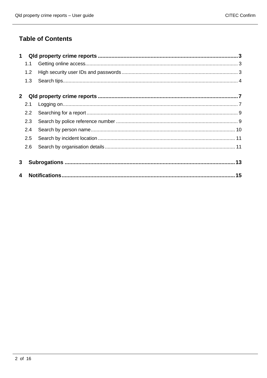### **Table of Contents**

| 1                       |               |  |
|-------------------------|---------------|--|
|                         | 1.1           |  |
|                         | 1.2           |  |
|                         | 1.3           |  |
| $\mathbf{2}$            |               |  |
|                         | 2.1           |  |
|                         | $2.2^{\circ}$ |  |
|                         | 2.3           |  |
|                         | 2.4           |  |
|                         | 2.5           |  |
|                         | 2.6           |  |
| 3                       |               |  |
| $\overline{\mathbf{4}}$ |               |  |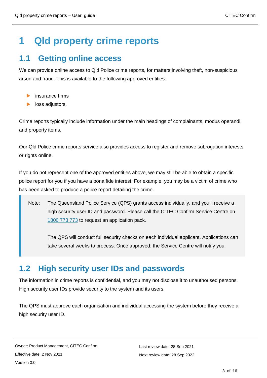## <span id="page-2-0"></span>**1 Qld property crime reports**

### <span id="page-2-1"></span>**1.1 Getting online access**

We can provide online access to Qld Police crime reports, for matters involving theft, non-suspicious arson and fraud. This is available to the following approved entities:

- insurance firms
- loss adjustors.

Crime reports typically include information under the main headings of complainants, modus operandi, and property items.

Our Qld Police crime reports service also provides access to register and remove subrogation interests or rights online.

If you do not represent one of the approved entities above, we may still be able to obtain a specific police report for you if you have a bona fide interest. For example, you may be a victim of crime who has been asked to produce a police report detailing the crime.

Note: The Queensland Police Service (QPS) grants access individually, and you'll receive a high security user ID and password. Please call the CITEC Confirm Service Centre on [1800 773 773](tel:1800773773) to request an application pack.

The QPS will conduct full security checks on each individual applicant. Applications can take several weeks to process. Once approved, the Service Centre will notify you.

### <span id="page-2-2"></span>**1.2 High security user IDs and passwords**

The information in crime reports is confidential, and you may not disclose it to unauthorised persons. High security user IDs provide security to the system and its users.

The QPS must approve each organisation and individual accessing the system before they receive a high security user ID.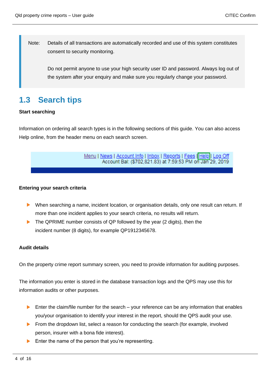Note: Details of all transactions are automatically recorded and use of this system constitutes consent to security monitoring.

Do not permit anyone to use your high security user ID and password. Always log out of the system after your enquiry and make sure you regularly change your password.

## <span id="page-3-0"></span>**1.3 Search tips**

### **Start searching**

Information on ordering all search types is in the following sections of this guide. You can also access Help online, from the header menu on each search screen.

> Menu | News | Account Info | Inbox | Reports | Fees | Help | Log Off Account Bal: (\$702,821.83) at 7:59:53 PM on Jan 29, 2019

#### **Entering your search criteria**

- When searching a name, incident location, or organisation details, only one result can return. If more than one incident applies to your search criteria, no results will return.
- The QPRIME number consists of QP followed by the year (2 digits), then the incident number (8 digits), for example QP1912345678.

### **Audit details**

On the property crime report summary screen, you need to provide information for auditing purposes.

The information you enter is stored in the database transaction logs and the QPS may use this for information audits or other purposes.

- Enter the claim/file number for the search your reference can be any information that enables you/your organisation to identify your interest in the report, should the QPS audit your use.
- From the dropdown list, select a reason for conducting the search (for example, involved  $\blacktriangleright$ person, insurer with a bona fide interest).
- Enter the name of the person that you're representing.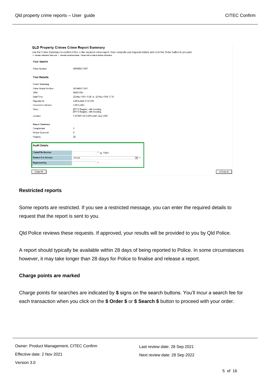| <b>QLD Property Crimes Crime Report Summary</b> |                                                                                                                                                                                                                                                                |             |
|-------------------------------------------------|----------------------------------------------------------------------------------------------------------------------------------------------------------------------------------------------------------------------------------------------------------------|-------------|
|                                                 | Use the Crime Summary to confirm if this is the required crime report, then complete any required details and click the Order button to proceed.<br>* denotes mandatory fields and * denotes conditional fields. Please refer to help for further information. |             |
| <b>Your Search</b>                              |                                                                                                                                                                                                                                                                |             |
| <b>Crime Number</b>                             | QP9400213927                                                                                                                                                                                                                                                   |             |
| <b>Your Results</b>                             |                                                                                                                                                                                                                                                                |             |
| <b>Crime Summary</b>                            |                                                                                                                                                                                                                                                                |             |
| <b>Crime Report Number</b>                      | QP9400213927                                                                                                                                                                                                                                                   |             |
| <b>CRN</b>                                      | 94/531094                                                                                                                                                                                                                                                      |             |
| Date/Time                                       | 22-May-1994 15:00 to 22-May-1994 17:30                                                                                                                                                                                                                         |             |
| Reported At                                     | CAPALABA STATION                                                                                                                                                                                                                                               |             |
| Occurred in Division                            | CAPALABA                                                                                                                                                                                                                                                       |             |
| Class                                           | [0711] Burglary, with breaking<br>[0711] Burglary, with breaking                                                                                                                                                                                               |             |
| Location                                        | 1 SPIRIT DR CAPALABA, QLD 4157                                                                                                                                                                                                                                 |             |
|                                                 |                                                                                                                                                                                                                                                                |             |
| <b>Report Summary</b>                           |                                                                                                                                                                                                                                                                |             |
| Complainant                                     | 1                                                                                                                                                                                                                                                              |             |
| Modus Operandi                                  | $\bf{0}$                                                                                                                                                                                                                                                       |             |
| Property                                        | 20                                                                                                                                                                                                                                                             |             |
|                                                 |                                                                                                                                                                                                                                                                |             |
| <b>Audit Details</b>                            |                                                                                                                                                                                                                                                                |             |
| <b>Claim/File Number</b>                        | $*$ eg. File01                                                                                                                                                                                                                                                 |             |
| <b>Reason For Access</b>                        | $\overline{\phantom{a}}$ $\overline{\phantom{a}}$<br>Select                                                                                                                                                                                                    |             |
| Representing                                    | $\star$                                                                                                                                                                                                                                                        |             |
| Clear All                                       |                                                                                                                                                                                                                                                                | \$ Order \$ |
|                                                 |                                                                                                                                                                                                                                                                |             |

#### **Restricted reports**

Some reports are restricted. If you see a restricted message, you can enter the required details to request that the report is sent to you.

Qld Police reviews these requests. If approved, your results will be provided to you by Qld Police.

A report should typically be available within 28 days of being reported to Police. In some circumstances however, it may take longer than 28 days for Police to finalise and release a report.

#### **Charge points are marked**

Charge points for searches are indicated by **\$** signs on the search buttons. You'll incur a search fee for each transaction when you click on the **\$ Order \$** or **\$ Search \$** button to proceed with your order.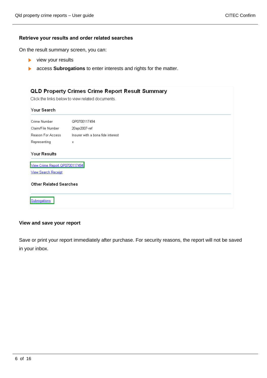### **Retrieve your results and order related searches**

On the result summary screen, you can:

- $\blacktriangleright$  view your results
- **A** access **Subrogations** to enter interests and rights for the matter.

|                                | QLD Property Crimes Crime Report Result Summary<br>Click the links below to view related documents. |
|--------------------------------|-----------------------------------------------------------------------------------------------------|
| Your Search                    |                                                                                                     |
| Crime Number                   | QP0700117494                                                                                        |
| Claim/File Number              | 20apr2007-ref                                                                                       |
| Reason For Access              | Insurer with a bona fide interest                                                                   |
| Representing                   | Х                                                                                                   |
| Your Results                   |                                                                                                     |
| View Crime Report QP0700117494 |                                                                                                     |
| <b>View Search Receipt</b>     |                                                                                                     |
| <b>Other Related Searches</b>  |                                                                                                     |
| Subrogations                   |                                                                                                     |

#### **View and save your report**

Save or print your report immediately after purchase. For security reasons, the report will not be saved in your inbox.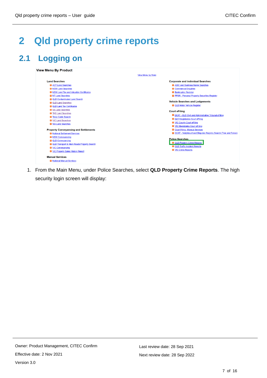## <span id="page-6-0"></span>**2 Qld property crime reports**

## <span id="page-6-1"></span>**2.1 Logging on**

|                                                          | <b>View Menu by State</b>                                                |
|----------------------------------------------------------|--------------------------------------------------------------------------|
| <b>Land Searches</b>                                     | <b>Corporate and Individual Searches</b>                                 |
| <b>El ACT Land Searches</b>                              | <b>El ASIC and Business Name Searches</b>                                |
| <b>El NSW Land Searches</b>                              | <b>El</b> Commercial Enquiries                                           |
| <b>El NSW Land Tax and Valuation Certificates</b>        | <b>El Bankruptcy Register</b>                                            |
| <b>N</b> NT Land Searches                                | PPSR - Personal Property Securities Register                             |
| <b>D</b> QLD Contaminated Land Search                    |                                                                          |
| <b>D</b> QLD Land Searches                               | <b>Vehicle Searches and Lodgements</b>                                   |
| <b>D</b> QLD Land Tax Certificates                       | <b>D</b> QLD Motor Vehicle Register                                      |
| <b>El</b> SA Land Searches                               | <b>Court eliling</b>                                                     |
| <b>El</b> TAS Land Searches                              | <b>D</b> QCAT - QLD Civil and Administrative Tribunal eFiling            |
| <b>El</b> Telco Cable Search                             | <b>El</b> QLD Magistrates Court eFiling                                  |
| VIC Land Searches                                        | VIC County Court eFiling                                                 |
| <b>D</b> WA Land Searches                                | <b>El VIC Magistrates Court eFiling</b>                                  |
| <b>Property Conveyancing and Settlements</b>             | <b>El</b> Court Filing - Manual Services                                 |
| <b>El National Settlement Services</b>                   | <b>El QCAT - Neighbourhood Disputes Registry Search (Tree and Fence)</b> |
| <b>El NSW Convevancing</b>                               |                                                                          |
| <b>D</b> QLD Conveyancing                                | <b>Police Searches</b>                                                   |
| <b>DI QLD Transport &amp; Main Roads Property Search</b> | <b>El QLD Property Crime Reports</b>                                     |
| <b>D</b> VIC Conveyancing                                | <b>El</b> QLD Traffic Incident Reports                                   |
| <b>El VIC Property Sales History Report</b>              | <b>El</b> VIC Crime Reports                                              |
| <b>Manual Services</b>                                   |                                                                          |

1. From the Main Menu, under Police Searches, select **QLD Property Crime Reports**. The high security login screen will display: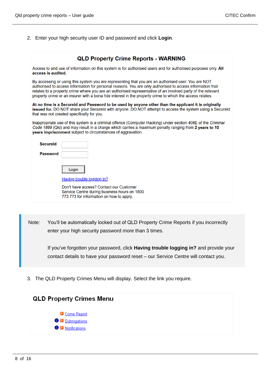2. Enter your high security user ID and password and click **Login**.

|                    | <b>QLD Property Crime Reports - WARNING</b>                                                                                                                                                                                                                                                                                                                                                                                                  |
|--------------------|----------------------------------------------------------------------------------------------------------------------------------------------------------------------------------------------------------------------------------------------------------------------------------------------------------------------------------------------------------------------------------------------------------------------------------------------|
| access is audited. | Access to and use of information on this system is for authorised users and for authorised purposes only. All                                                                                                                                                                                                                                                                                                                                |
|                    | By accessing or using this system you are representing that you are an authorised user. You are NOT<br>authorised to access information for personal reasons. You are only authorised to access information that<br>relates to a property crime where you are an authorised representative of an involved party of the relevant<br>property crime or an insurer with a bona fide interest in the property crime to which the access relates. |
|                    | At no time is a Secureld and Password to be used by anyone other than the applicant it is originally<br>issued for. DO NOT share your Secureld with anyone. DO NOT attempt to access the system using a Secureld<br>that was not created specifically for you.                                                                                                                                                                               |
|                    | Inappropriate use of this system is a criminal offence (Computer Hacking) under section 408E of the Criminal<br>Code 1899 (Qld) and may result in a charge which carries a maximum penalty ranging from 2 years to 10<br>years imprisonment subject to circumstances of aggravation.                                                                                                                                                         |
| <b>Secureld</b>    |                                                                                                                                                                                                                                                                                                                                                                                                                                              |
| <b>Password</b>    |                                                                                                                                                                                                                                                                                                                                                                                                                                              |
|                    | Login                                                                                                                                                                                                                                                                                                                                                                                                                                        |
|                    | <b>Having trouble logging in?</b>                                                                                                                                                                                                                                                                                                                                                                                                            |
|                    | Don't have access? Contact our Customer<br>Service Centre during business hours on 1800<br>773 773 for information on how to apply.                                                                                                                                                                                                                                                                                                          |

Note: You'll be automatically locked out of QLD Property Crime Reports if you incorrectly enter your high security password more than 3 times.

If you've forgotten your password, click **Having trouble logging in?** and provide your contact details to have your password reset – our Service Centre will contact you.

3. The QLD Property Crimes Menu will display. Select the link you require.

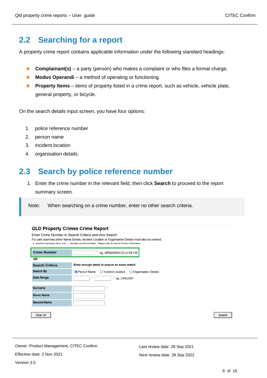## <span id="page-8-0"></span>**2.2 Searching for a report**

A property crime report contains applicable information under the following standard headings:

- $\blacktriangleright$ **Complainant(s)** – a party (person) who makes a complaint or who files a formal charge.
- **Modus Operandi** a method of operating or functioning.  $\mathbf{L}$
- **Property Items** items of property listed in a crime report, such as vehicle, vehicle plate,  $\blacktriangleright$ general property, or bicycle.

On the search details input screen, you have four options:

- 1. police reference number
- 2. person name
- 3. incident location
- 4. organisation details.

## <span id="page-8-1"></span>**2.3 Search by police reference number**

1. Enter the crime number in the relevant field, then click **Search** to proceed to the report summary screen.

Note: When searching on a crime number, enter no other search criteria.

| <b>QLD Property Crimes Crime Report</b> |                                                                                                                                                                                                                                                                                 |
|-----------------------------------------|---------------------------------------------------------------------------------------------------------------------------------------------------------------------------------------------------------------------------------------------------------------------------------|
|                                         | Enter Crime Number or Search Criteria and click Search.<br>For date searches either Name Details, Incident Location or Organisation Details must also be entered.<br>* denotes mandatory fields and * denotes conditional fields. Please refer to help for further information. |
| <b>Crime Number</b>                     | * eg. QP0600000123 or 93/139                                                                                                                                                                                                                                                    |
| OR                                      |                                                                                                                                                                                                                                                                                 |
| <b>Search Criteria</b>                  | Enter enough detail to ensure an exact match.                                                                                                                                                                                                                                   |
| <b>Search By</b>                        | <b>O</b> Person Name<br>$\bigcirc$ Incident Location<br>◯ Organisation Details                                                                                                                                                                                                  |
| <b>Date Range</b>                       | *<br>* eg. $23052007$                                                                                                                                                                                                                                                           |
| <b>Surname</b>                          | $\ast$                                                                                                                                                                                                                                                                          |
| <b>Given Name</b>                       |                                                                                                                                                                                                                                                                                 |
| <b>Second Name</b>                      |                                                                                                                                                                                                                                                                                 |
| <b>Clear All</b>                        | <b>Search</b>                                                                                                                                                                                                                                                                   |

Owner: Product Management, CITEC Confirm Effective date: 2 Nov 2021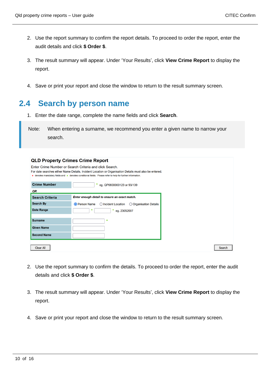- 2. Use the report summary to confirm the report details. To proceed to order the report, enter the audit details and click **\$ Order \$**.
- 3. The result summary will appear. Under 'Your Results', click **View Crime Report** to display the report.
- 4. Save or print your report and close the window to return to the result summary screen.

## <span id="page-9-0"></span>**2.4 Search by person name**

- 1. Enter the date range, complete the name fields and click **Search**.
- Note: When entering a surname, we recommend you enter a given name to narrow your search.

| <b>QLD Property Crimes Crime Report</b> | Enter Crime Number or Search Criteria and click Search.<br>For date searches either Name Details, Incident Location or Organisation Details must also be entered.<br>★ denotes mandatory fields and ★ denotes conditional fields. Please refer to help for further information. |        |
|-----------------------------------------|---------------------------------------------------------------------------------------------------------------------------------------------------------------------------------------------------------------------------------------------------------------------------------|--------|
| <b>Crime Number</b>                     | *<br>eg. QP0600000123 or 93/139                                                                                                                                                                                                                                                 |        |
| OR                                      |                                                                                                                                                                                                                                                                                 |        |
| <b>Search Criteria</b>                  | Enter enough detail to ensure an exact match.                                                                                                                                                                                                                                   |        |
| <b>Search By</b>                        | <b>O</b> Person Name<br>◯ Incident Location<br>◯ Organisation Details                                                                                                                                                                                                           |        |
| <b>Date Range</b>                       | $\ast$<br>*<br>eg. 23052007                                                                                                                                                                                                                                                     |        |
| <b>Surname</b>                          | $\star$                                                                                                                                                                                                                                                                         |        |
| <b>Given Name</b>                       |                                                                                                                                                                                                                                                                                 |        |
| <b>Second Name</b>                      |                                                                                                                                                                                                                                                                                 |        |
| <b>Clear All</b>                        |                                                                                                                                                                                                                                                                                 | Search |

- 2. Use the report summary to confirm the details. To proceed to order the report, enter the audit details and click **\$ Order \$**.
- 3. The result summary will appear. Under 'Your Results', click **View Crime Report** to display the report.
- 4. Save or print your report and close the window to return to the result summary screen.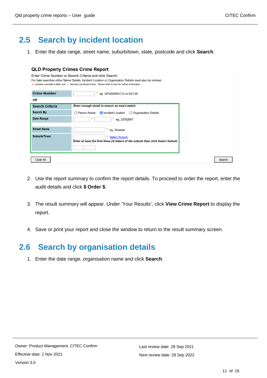## <span id="page-10-0"></span>**2.5 Search by incident location**

1. Enter the date range, street name, suburb/town, state, postcode and click **Search**.

|                        | <b>QLD Property Crimes Crime Report</b><br>Enter Crime Number or Search Criteria and click Search.<br>For date searches either Name Details, Incident Location or Organisation Details must also be entered.<br>* denotes mandatory fields and * denotes conditional fields. Please refer to help for further information. |        |
|------------------------|----------------------------------------------------------------------------------------------------------------------------------------------------------------------------------------------------------------------------------------------------------------------------------------------------------------------------|--------|
| <b>Crime Number</b>    |                                                                                                                                                                                                                                                                                                                            |        |
| <b>OR</b>              | * eg. QP0600000123 or 93/139                                                                                                                                                                                                                                                                                               |        |
| <b>Search Criteria</b> | Enter enough detail to ensure an exact match.                                                                                                                                                                                                                                                                              |        |
| <b>Search By</b>       | O Person Name<br><b>O</b> Incident Location<br>◯ Organisation Details                                                                                                                                                                                                                                                      |        |
| <b>Date Range</b>      | $\ast$<br>* eg. 23052007                                                                                                                                                                                                                                                                                                   |        |
| <b>Street Name</b>     | *<br>eg. Sesame                                                                                                                                                                                                                                                                                                            |        |
| Suburb/Town            | *<br><b>Select Suburb</b><br>Enter at least the first three (3) letters of the suburb then click Select Suburb                                                                                                                                                                                                             |        |
| <b>Clear All</b>       |                                                                                                                                                                                                                                                                                                                            | Search |

- 2. Use the report summary to confirm the report details. To proceed to order the report, enter the audit details and click **\$ Order \$**.
- 3. The result summary will appear. Under 'Your Results', click **View Crime Report** to display the report.
- 4. Save or print your report and close the window to return to the result summary screen.

### <span id="page-10-1"></span>**2.6 Search by organisation details**

1. Enter the date range, organisation name and click **Search**.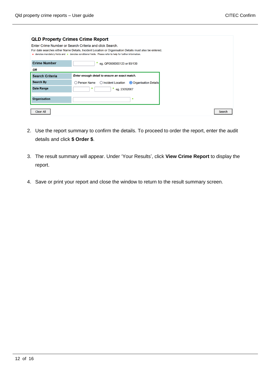| <b>QLD Property Crimes Crime Report</b> |                                                                                                                                                                   |
|-----------------------------------------|-------------------------------------------------------------------------------------------------------------------------------------------------------------------|
|                                         | Enter Crime Number or Search Criteria and click Search.<br>For date searches either Name Details, Incident Location or Organisation Details must also be entered. |
|                                         | ★ denotes mandatory fields and ★ denotes conditional fields. Please refer to help for further information.                                                        |
| <b>Crime Number</b>                     | * eg. QP0600000123 or 93/139                                                                                                                                      |
| OR                                      |                                                                                                                                                                   |
| <b>Search Criteria</b>                  | Enter enough detail to ensure an exact match.                                                                                                                     |
| <b>Search By</b>                        | O Person Name<br>◯ Incident Location<br>O Organisation Details                                                                                                    |
| <b>Date Range</b>                       | *<br>$\ast$<br>eg. 23052007                                                                                                                                       |
|                                         |                                                                                                                                                                   |
|                                         |                                                                                                                                                                   |
| <b>Organisation</b>                     | $\ast$                                                                                                                                                            |

- 2. Use the report summary to confirm the details. To proceed to order the report, enter the audit details and click **\$ Order \$**.
- 3. The result summary will appear. Under 'Your Results', click **View Crime Report** to display the report.
- 4. Save or print your report and close the window to return to the result summary screen.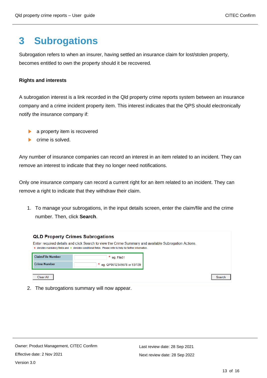## <span id="page-12-0"></span>**3 Subrogations**

Subrogation refers to when an insurer, having settled an insurance claim for lost/stolen property, becomes entitled to own the property should it be recovered.

### **Rights and interests**

A subrogation interest is a link recorded in the Qld property crime reports system between an insurance company and a crime incident property item. This interest indicates that the QPS should electronically notify the insurance company if:

- a property item is recovered
- crime is solved.

Any number of insurance companies can record an interest in an item related to an incident. They can remove an interest to indicate that they no longer need notifications.

Only one insurance company can record a current right for an item related to an incident. They can remove a right to indicate that they withdraw their claim.

1. To manage your subrogations, in the input details screen, enter the claim/file and the crime number. Then, click **Search**.



2. The subrogations summary will now appear.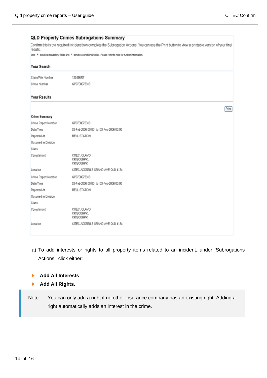#### **QLD Property Crimes Subrogations Summary** Confirm this is the required incident then complete the Subrogation Actions. You can use the Print button to view a printable version of your final results Note: \* denotes mandatory fields and \* denotes conditional fields. Please refer to help for further information. Your Search Claim/File Number 123456/07 Crime Number QP0700075319 **Your Results** Print **Crime Summary** Crime Report Number QP0700075319 Date/Time 02-Feb-2006 00:00 to 03-Feb-2006 00:00 Reported At BELL STATION Occurred in Division Class Complainant CITEC, OLAVO CRISCORPK. CRISCORPK Location CITEC ADDR30 3 GRAND AVE QLD 4134 Crime Report Number 080700075319 Date/Time 02-Feb-2006 00:00 to 03-Feb-2006 00:00 Reported At **BELL STATION** Occurred in Division Class Complainant CITEC, OLAVO CRISCORPK. CRISCORPK Location CITEC.ADDR30 3 GRAND AVE GLD 4134

- a) To add interests or rights to all property items related to an incident, under 'Subrogations Actions', click either:
- **Add All Interests**  ь
- **Add All Rights**. ь
- Note: You can only add a right if no other insurance company has an existing right. Adding a right automatically adds an interest in the crime.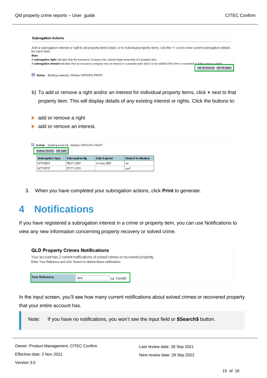| <b>Subrogation Actions</b>                                                                                                                                                |                                    |
|---------------------------------------------------------------------------------------------------------------------------------------------------------------------------|------------------------------------|
| Add a subrogation interest or right to all property items listed, or to individual property items. Use the '+' icon to view current subrogation details<br>for each item. |                                    |
| Note:                                                                                                                                                                     |                                    |
| A subrogation right indicates that the Insurance Company has claimed legal ownership of a property item.                                                                  |                                    |
| A subrogation interest indicates that an insurance company has an interest in a property item and is to be notified if the item is recovered or if the crima is solved.   |                                    |
|                                                                                                                                                                           | Add All Interests   Add All Rights |
| Œ<br>Building materials, Window XXPROPG PROP1<br>Stolen                                                                                                                   |                                    |

- b) To add or remove a right and/or an interest for individual property items, click **+** next to that property item. This will display details of any existing interest or rights. Click the buttons to:
- add or remove a right
- add or remove an interest.

| Remove Interest   Add Right | Stolen Building materials, Window XXPROPG PROP1 |                     |                          |
|-----------------------------|-------------------------------------------------|---------------------|--------------------------|
| <b>Subrogation Type</b>     | <b>Subrogation By</b>                           | <b>Date Expired</b> | <b>Claim/File Number</b> |
| <b>INTEREST</b>             | <b>TESTUSER</b>                                 | 24-May-2007         | aw                       |
| <b>INTEREST</b>             | <b>TESTUSER</b>                                 |                     | ajw1                     |

3. When you have completed your subrogation actions, click **Print** to generate.

## <span id="page-14-0"></span>**4 Notifications**

If you have registered a subrogation interest in a crime or property item, you can use Notifications to view any new information concerning property recovery or solved crime.

| <b>QLD Property Crimes Notifications</b>                                                                                                                   |      |              |
|------------------------------------------------------------------------------------------------------------------------------------------------------------|------|--------------|
| Your account has 2 current notifications of solved crimes or recovered property.<br>Enter Your Reference and click Search to retrieve these notifications. |      |              |
|                                                                                                                                                            |      |              |
| <b>Your Reference</b>                                                                                                                                      | test | eg. Client02 |

In the input screen, you'll see how many current notifications about solved crimes or recovered property that your entire account has.

Note: If you have no notifications, you won't see the input field or **\$Search\$** button.